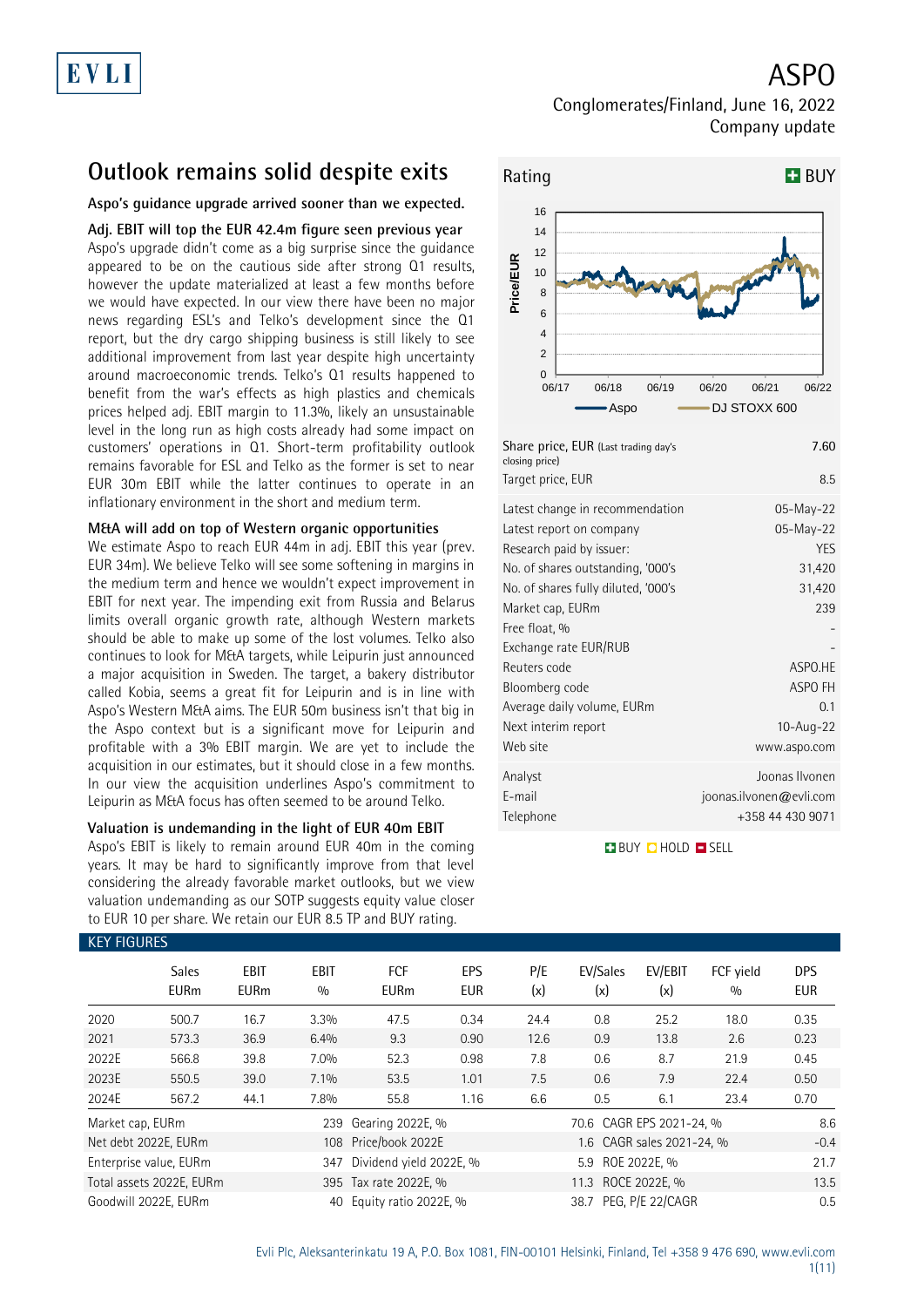ASPO

### Conglomerates/Finland, June 16, 2022 Company update

## **Outlook remains solid despite exits**

### **Aspo's guidance upgrade arrived sooner than we expected.**

**Adj. EBIT will top the EUR 42.4m figure seen previous year** Aspo's upgrade didn't come as a big surprise since the guidance appeared to be on the cautious side after strong Q1 results, however the update materialized at least a few months before we would have expected. In our view there have been no major news regarding ESL's and Telko's development since the Q1 report, but the dry cargo shipping business is still likely to see additional improvement from last year despite high uncertainty around macroeconomic trends. Telko's Q1 results happened to benefit from the war's effects as high plastics and chemicals prices helped adj. EBIT margin to 11.3%, likely an unsustainable level in the long run as high costs already had some impact on customers' operations in Q1. Short-term profitability outlook remains favorable for ESL and Telko as the former is set to near EUR 30m EBIT while the latter continues to operate in an inflationary environment in the short and medium term.

### **M&A will add on top of Western organic opportunities**

We estimate Aspo to reach EUR 44m in adj. EBIT this year (prev. EUR 34m). We believe Telko will see some softening in margins in the medium term and hence we wouldn't expect improvement in EBIT for next year. The impending exit from Russia and Belarus limits overall organic growth rate, although Western markets should be able to make up some of the lost volumes. Telko also continues to look for M&A targets, while Leipurin just announced a major acquisition in Sweden. The target, a bakery distributor called Kobia, seems a great fit for Leipurin and is in line with Aspo's Western M&A aims. The EUR 50m business isn't that big in the Aspo context but is a significant move for Leipurin and profitable with a 3% EBIT margin. We are yet to include the acquisition in our estimates, but it should close in a few months. In our view the acquisition underlines Aspo's commitment to Leipurin as M&A focus has often seemed to be around Telko.

### **Valuation is undemanding in the light of EUR 40m EBIT**

Aspo's EBIT is likely to remain around EUR 40m in the coming years. It may be hard to significantly improve from that level considering the already favorable market outlooks, but we view valuation undemanding as our SOTP suggests equity value closer to EUR 10 per share. We retain our EUR 8.5 TP and BUY rating.



| Share price, EUR (Last trading day's<br>closing price)                                                                                                                                                                                            | 7.60                                                                                  |
|---------------------------------------------------------------------------------------------------------------------------------------------------------------------------------------------------------------------------------------------------|---------------------------------------------------------------------------------------|
| Target price, EUR                                                                                                                                                                                                                                 | 8.5                                                                                   |
| Latest change in recommendation<br>Latest report on company<br>Research paid by issuer:<br>No. of shares outstanding, '000's<br>No. of shares fully diluted, '000's<br>Market cap, EURm<br>Free float, %<br>Exchange rate EUR/RUB<br>Reuters code | 05-May-22<br>05-May-22<br><b>YES</b><br>31,420<br>31,420<br>239<br>ASPO.HE<br>ASPO FH |
| Bloomberg code<br>Average daily volume, EURm<br>Next interim report<br>Web site<br>Analyst                                                                                                                                                        | 0 <sub>1</sub><br>10-Aug-22<br>www.aspo.com<br>Joonas Ilvonen                         |
| E-mail<br>Telephone                                                                                                                                                                                                                               | joonas.ilvonen@evli.com<br>+358 44 430 9071                                           |

**BUY O HOLD O SELL** 

| <b>KEY FIGURES</b> |                             |                     |             |                         |                   |            |                          |                           |                  |                          |
|--------------------|-----------------------------|---------------------|-------------|-------------------------|-------------------|------------|--------------------------|---------------------------|------------------|--------------------------|
|                    | <b>Sales</b><br><b>EURm</b> | EBIT<br><b>EURm</b> | EBIT<br>0/0 | FCF<br><b>EURm</b>      | EPS<br><b>EUR</b> | P/E<br>(x) | EV/Sales<br>(x)          | EV/EBIT<br>(x)            | FCF vield<br>0/0 | <b>DPS</b><br><b>EUR</b> |
| 2020               | 500.7                       | 16.7                | 3.3%        | 47.5                    | 0.34              | 24.4       | 0.8                      | 25.2                      | 18.0             | 0.35                     |
| 2021               | 573.3                       | 36.9                | 6.4%        | 9.3                     | 0.90              | 12.6       | 0.9                      | 13.8                      | 2.6              | 0.23                     |
| 2022E              | 566.8                       | 39.8                | 7.0%        | 52.3                    | 0.98              | 7.8        | 0.6                      | 8.7                       | 21.9             | 0.45                     |
| 2023E              | 550.5                       | 39.0                | 7.1%        | 53.5                    | 1.01              | 7.5        | 0.6                      | 7.9                       | 22.4             | 0.50                     |
| 2024E              | 567.2                       | 44.1                | 7.8%        | 55.8                    | 1.16              | 6.6        | 0.5                      | 6.1                       | 23.4             | 0.70                     |
| Market cap, EURm   |                             |                     | 239         | Gearing 2022E, %        |                   |            | 70.6 CAGR EPS 2021-24, % |                           |                  | 8.6                      |
|                    | Net debt 2022E, EURm        |                     |             | 108 Price/book 2022E    |                   |            |                          | 1.6 CAGR sales 2021-24, % |                  | $-0.4$                   |
|                    | Enterprise value, EURm      |                     | 347         | Dividend yield 2022E, % |                   |            | 5.9 ROE 2022E, %         |                           |                  | 21.7                     |
|                    | Total assets 2022E, EURm    |                     |             | 395 Tax rate 2022E, %   |                   |            | 11.3                     | ROCE 2022E, %             |                  | 13.5                     |
|                    | Goodwill 2022E, EURm        |                     | 40          | Equity ratio 2022E, %   |                   |            | 38.7 PEG. P/E 22/CAGR    |                           |                  | 0.5                      |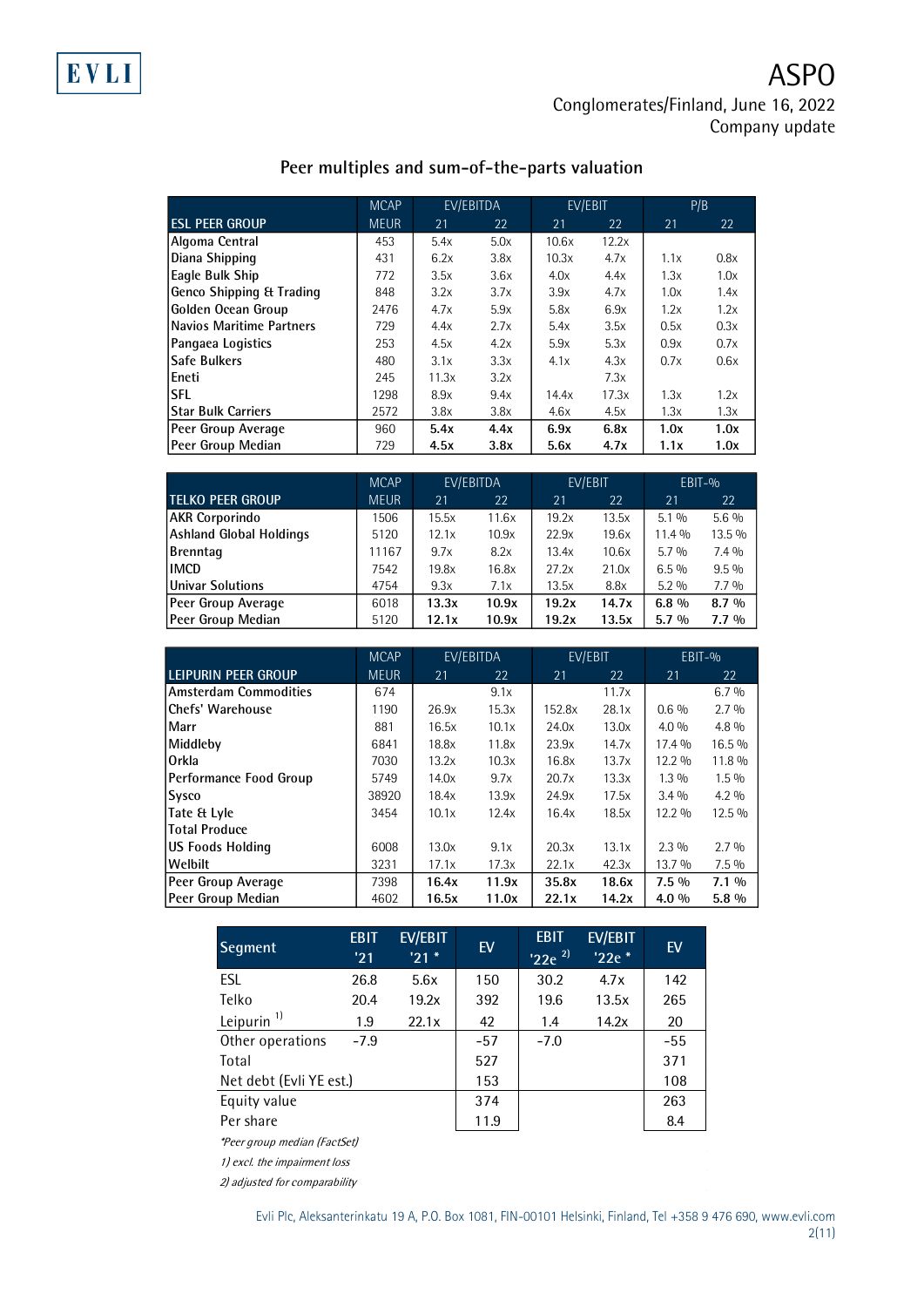## **Peer multiples and sum-of-the-parts valuation**

|                                     | <b>MCAP</b> |       | EV/EBITDA | EV/EBIT |       |      | P/B  |
|-------------------------------------|-------------|-------|-----------|---------|-------|------|------|
| <b>ESL PEER GROUP</b>               | <b>MEUR</b> | 21    | 22        | 21      | 22    | 21   | 22   |
| Algoma Central                      | 453         | 5.4x  | 5.0x      | 10.6x   | 12.2x |      |      |
| Diana Shipping                      | 431         | 6.2x  | 3.8x      | 10.3x   | 4.7x  | 1.1x | 0.8x |
| Eagle Bulk Ship                     | 772         | 3.5x  | 3.6x      | 4.0x    | 4.4x  | 1.3x | 1.0x |
| <b>Genco Shipping &amp; Trading</b> | 848         | 3.2x  | 3.7x      | 3.9x    | 4.7x  | 1.0x | 1.4x |
| Golden Ocean Group                  | 2476        | 4.7x  | 5.9x      | 5.8x    | 6.9x  | 1.2x | 1.2x |
| Navios Maritime Partners            | 729         | 4.4x  | 2.7x      | 5.4x    | 3.5x  | 0.5x | 0.3x |
| Pangaea Logistics                   | 253         | 4.5x  | 4.2x      | 5.9x    | 5.3x  | 0.9x | 0.7x |
| <b>Safe Bulkers</b>                 | 480         | 3.1x  | 3.3x      | 4.1x    | 4.3x  | 0.7x | 0.6x |
| Eneti                               | 245         | 11.3x | 3.2x      |         | 7.3x  |      |      |
| <b>SFL</b>                          | 1298        | 8.9x  | 9.4x      | 14.4x   | 17.3x | 1.3x | 1.2x |
| Star Bulk Carriers                  | 2572        | 3.8x  | 3.8x      | 4.6x    | 4.5x  | 1.3x | 1.3x |
| Peer Group Average                  | 960         | 5.4x  | 4.4x      | 6.9x    | 6.8x  | 1.0x | 1.0x |
| Peer Group Median                   | 729         | 4.5x  | 3.8x      | 5.6x    | 4.7x  | 1.1x | 1.0x |

|                         | <b>MCAP</b> | EV/EBITDA |       | EV/EBIT |       |         | $EBIT-0$ |
|-------------------------|-------------|-----------|-------|---------|-------|---------|----------|
| <b>TELKO PEER GROUP</b> | <b>MEUR</b> | 21        | 22    | 21      | 22    | 21      | 22       |
| <b>AKR Corporindo</b>   | 1506        | 15.5x     | 11.6x | 19.2x   | 13.5x | $5.1\%$ | $5.6\%$  |
| Ashland Global Holdings | 5120        | 12.1x     | 10.9x | 22.9x   | 19.6x | 11.4 %  | 13.5 %   |
| Brenntag                | 11167       | 9.7x      | 8.2x  | 13.4x   | 10.6x | $5.7\%$ | $7.4\%$  |
| <b>IMCD</b>             | 7542        | 19.8x     | 16.8x | 27.2x   | 21.0x | $6.5\%$ | $9.5\%$  |
| Univar Solutions        | 4754        | 9.3x      | 7.1x  | 13.5x   | 8.8x  | $5.2\%$ | $7.7\%$  |
| Peer Group Average      | 6018        | 13.3x     | 10.9x | 19.2x   | 14.7x | $6.8\%$ | $8.7\%$  |
| Peer Group Median       | 5120        | 12.1x     | 10.9x | 19.2x   | 13.5x | $5.7\%$ | $7.7\%$  |

|                               | <b>MCAP</b>             | EV/EBITDA |       | EV/EBIT |       | EBIT-%  |         |
|-------------------------------|-------------------------|-----------|-------|---------|-------|---------|---------|
| <b>LEIPURIN PEER GROUP</b>    | <b>MEUR</b><br>22<br>21 |           |       | 21      | 22    |         | 22      |
| <b>Amsterdam Commodities</b>  | 674                     |           | 9.1x  |         | 11.7x |         | 6.7%    |
| <b>Chefs' Warehouse</b>       | 1190                    | 26.9x     | 15.3x | 152.8x  | 28.1x | $0.6\%$ | 2.7%    |
| Marr                          | 881                     | 16.5x     | 10.1x | 24.0x   | 13.0x | $4.0\%$ | $4.8\%$ |
| Middleby                      | 6841                    | 18.8x     | 11.8x | 23.9x   | 14.7x | 17.4 %  | 16.5%   |
| Orkla                         | 7030                    | 13.2x     | 10.3x | 16.8x   | 13.7x | 12.2 %  | 11.8 %  |
| <b>Performance Food Group</b> | 5749                    | 14.0x     | 9.7x  | 20.7x   | 13.3x | $1.3\%$ | $1.5\%$ |
| <b>Sysco</b>                  | 38920                   | 18.4x     | 13.9x | 24.9x   | 17.5x | $3.4\%$ | $4.2\%$ |
| Tate & Lyle                   | 3454                    | 10.1x     | 12.4x | 16.4x   | 18.5x | 12.2 %  | 12.5 %  |
| <b>Total Produce</b>          |                         |           |       |         |       |         |         |
| <b>US Foods Holding</b>       | 6008                    | 13.0x     | 9.1x  | 20.3x   | 13.1x | $2.3\%$ | 2.7%    |
| Welbilt                       | 3231                    | 17.1x     | 17.3x | 22.1x   | 42.3x | 13.7 %  | $7.5\%$ |
| Peer Group Average            | 7398                    | 16.4x     | 11.9x | 35.8x   | 18.6x | $7.5\%$ | $7.1\%$ |
| Peer Group Median             | 4602                    | 16.5x     | 11.0x | 22.1x   | 14.2x | 4.0 %   | $5.8\%$ |

| Segment                                                                                                                                                                                                                                                                                                     | <b>EBIT</b><br>'21 | <b>EV/EBIT</b><br>'21' | EV    | <b>EBIT</b><br>$'22e^{2}$ | <b>EV/EBIT</b><br>'22e * | EV    |
|-------------------------------------------------------------------------------------------------------------------------------------------------------------------------------------------------------------------------------------------------------------------------------------------------------------|--------------------|------------------------|-------|---------------------------|--------------------------|-------|
| <b>ESL</b>                                                                                                                                                                                                                                                                                                  | 26.8               | 5.6x                   | 150   | 30.2                      | 4.7x                     | 142   |
| Telko                                                                                                                                                                                                                                                                                                       | 20.4               | 19.2x                  | 392   | 19.6                      | 13.5x                    | 265   |
| Leipurin $1$                                                                                                                                                                                                                                                                                                | 1.9                | 22.1x                  | 42    | 1.4                       | 14.2x                    | 20    |
| Other operations                                                                                                                                                                                                                                                                                            | $-7.9$             |                        | $-57$ | $-7.0$                    |                          | $-55$ |
| Total                                                                                                                                                                                                                                                                                                       |                    |                        | 527   |                           |                          | 371   |
| Net debt (Evli YE est.)                                                                                                                                                                                                                                                                                     |                    |                        | 153   |                           |                          | 108   |
| Equity value                                                                                                                                                                                                                                                                                                |                    |                        | 374   |                           |                          | 263   |
| Per share                                                                                                                                                                                                                                                                                                   |                    |                        | 11.9  |                           |                          | 8.4   |
| *Peer group median (FactSet)                                                                                                                                                                                                                                                                                |                    |                        |       |                           |                          |       |
| $\mathbf{a}$ , $\mathbf{b}$ , $\mathbf{c}$ , $\mathbf{c}$ , $\mathbf{c}$ , $\mathbf{c}$ , $\mathbf{c}$ , $\mathbf{c}$ , $\mathbf{c}$ , $\mathbf{c}$ , $\mathbf{c}$ , $\mathbf{c}$ , $\mathbf{c}$ , $\mathbf{c}$ , $\mathbf{c}$ , $\mathbf{c}$ , $\mathbf{c}$ , $\mathbf{c}$ , $\mathbf{c}$ , $\mathbf{c}$ , |                    |                        |       |                           |                          |       |

 $\mathcal{L}_{\mathcal{L}}$ 

1) excl. the impairment loss

2) adjusted for comparability

 $\mathcal{L}_{\rm{eff}}$ 

 $\sim$ 

 $\sim$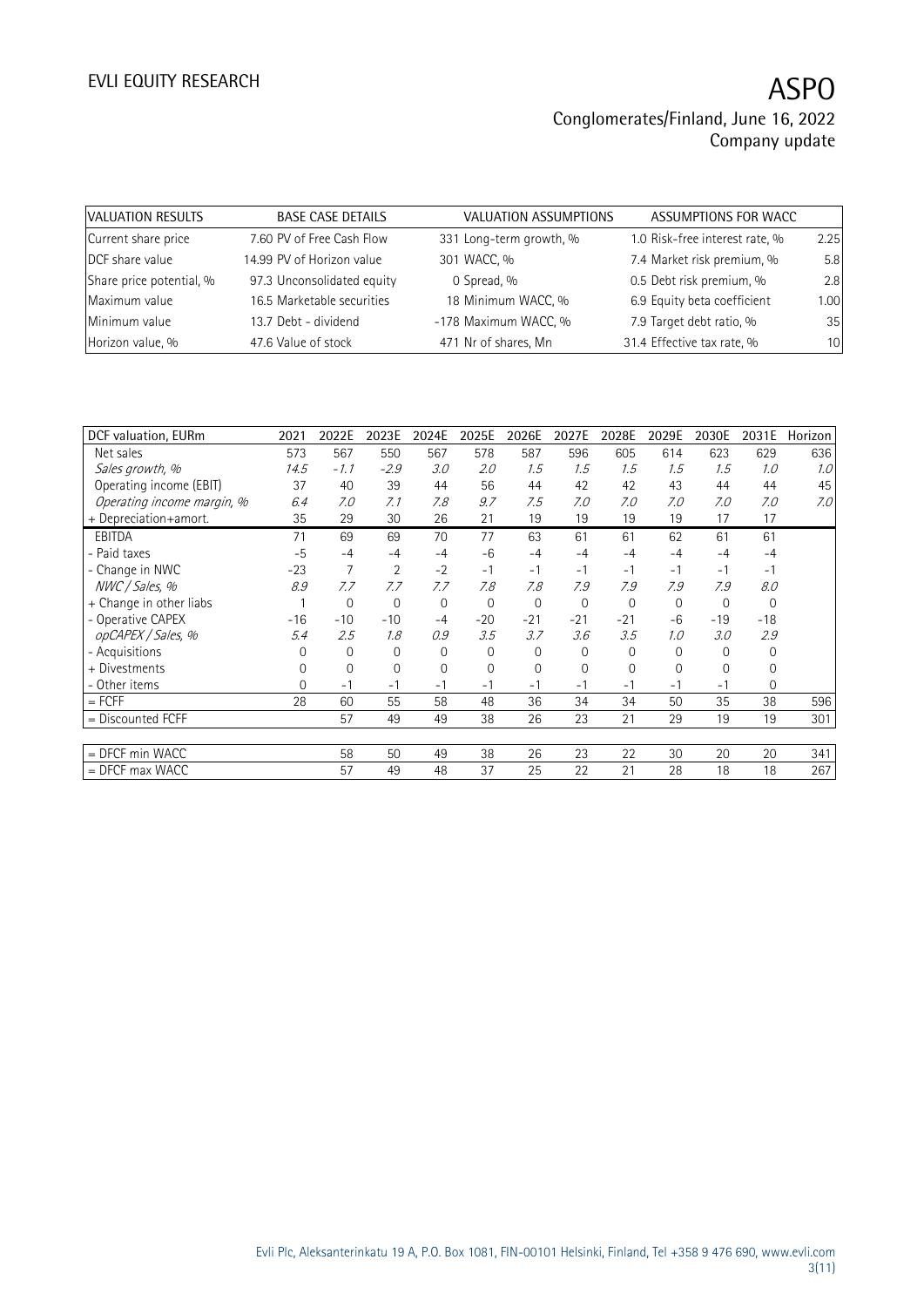| VALUATION RESULTS        | <b>BASE CASE DETAILS</b>   | VALUATION ASSUMPTIONS   | ASSUMPTIONS FOR WACC           |      |
|--------------------------|----------------------------|-------------------------|--------------------------------|------|
| Current share price      | 7.60 PV of Free Cash Flow  | 331 Long-term growth, % | 1.0 Risk-free interest rate, % | 2.25 |
| DCF share value          | 14.99 PV of Horizon value  | 301 WACC, %             | 7.4 Market risk premium, %     | 5.8  |
| Share price potential, % | 97.3 Unconsolidated equity | 0 Spread, %             | 0.5 Debt risk premium, %       | 2.8  |
| Maximum value            | 16.5 Marketable securities | 18 Minimum WACC, %      | 6.9 Equity beta coefficient    | 1.00 |
| Minimum value            | 13.7 Debt - dividend       | -178 Maximum WACC, %    | 7.9 Target debt ratio, %       | 35   |
| Horizon value, %         | 47.6 Value of stock        | 471 Nr of shares, Mn    | 31.4 Effective tax rate, %     | 10   |

| DCF valuation, EURm        | 2021     | 2022E        | 2023E    | 2024E          | 2025E          | 2026E       | 2027E       | 2028E       | 2029E    | 2030E        | 2031E          | Horizon |
|----------------------------|----------|--------------|----------|----------------|----------------|-------------|-------------|-------------|----------|--------------|----------------|---------|
| Net sales                  | 573      | 567          | 550      | 567            | 578            | 587         | 596         | 605         | 614      | 623          | 629            | 636     |
| Sales growth, %            | 14.5     | $-1.1$       | $-2.9$   | 3.0            | 2.0            | 1.5         | 1.5         | 1.5         | 1.5      | 1.5          | 1.0            | 1.0     |
| Operating income (EBIT)    | 37       | 40           | 39       | 44             | 56             | 44          | 42          | 42          | 43       | 44           | 44             | 45      |
| Operating income margin, % | 6.4      | 7.0          | 7.1      | 7.8            | 9.7            | 7.5         | 7.0         | 7.0         | 7.0      | 7.0          | 7.0            | 7.0     |
| + Depreciation+amort.      | 35       | 29           | 30       | 26             | 21             | 19          | 19          | 19          | 19       | 17           | 17             |         |
| <b>EBITDA</b>              | 71       | 69           | 69       | 70             | 77             | 63          | 61          | 61          | 62       | 61           | 61             |         |
| - Paid taxes               | $-5$     | $-4$         | $-4$     | $-4$           | $-6$           | -4          | $-4$        | $-4$        | $-4$     | $-4$         | $-4$           |         |
| - Change in NWC            | $-23$    | 7            | 2        | $-2$           | $-1$           | $-1$        | $-1$        | $-1$        | $-1$     | $-1$         | $-1$           |         |
| NWC / Sales, %             | 8.9      | 7.7          | 7.7      | 7.7            | 7.8            | 7.8         | 7.9         | 7.9         | 7.9      | 7.9          | 8.0            |         |
| + Change in other liabs    |          | $\mathbf 0$  | 0        | $\overline{0}$ | $\mathbf 0$    | $\mathbf 0$ | $\mathbf 0$ | $\mathbf 0$ | $\Omega$ | $\mathbf{0}$ | $\mathbf{0}$   |         |
| - Operative CAPEX          | $-16$    | $-10$        | $-10$    | $-4$           | $-20$          | $-21$       | $-21$       | $-21$       | $-6$     | $-19$        | $-18$          |         |
| opCAPEX / Sales, %         | 5.4      | 2.5          | 1.8      | 0.9            | 3.5            | 3.7         | 3.6         | 3.5         | 1.0      | 3.0          | 2.9            |         |
| - Acquisitions             | 0        | $\mathbf{0}$ | $\Omega$ | 0              | $\mathbf{0}$   | 0           | 0           | 0           | $\Omega$ | 0            | 0              |         |
| + Divestments              | $\Omega$ | $\mathbf{0}$ | $\Omega$ | $\mathbf{0}$   | $\overline{0}$ | $\Omega$    | $\Omega$    | 0           | $\Omega$ | $\Omega$     | 0              |         |
| - Other items              | 0        | $-1$         | $-1$     | $-1$           | $-1$           | -1          | $-1$        | $-1$        | -1       | $-1$         | $\overline{0}$ |         |
| $=$ FCFF                   | 28       | 60           | 55       | 58             | 48             | 36          | 34          | 34          | 50       | 35           | 38             | 596     |
| $=$ Discounted FCFF        |          | 57           | 49       | 49             | 38             | 26          | 23          | 21          | 29       | 19           | 19             | 301     |
|                            |          |              |          |                |                |             |             |             |          |              |                |         |
| = DFCF min WACC            |          | 58           | 50       | 49             | 38             | 26          | 23          | 22          | 30       | 20           | 20             | 341     |
| $=$ DFCF max WACC          |          | 57           | 49       | 48             | 37             | 25          | 22          | 21          | 28       | 18           | 18             | 267     |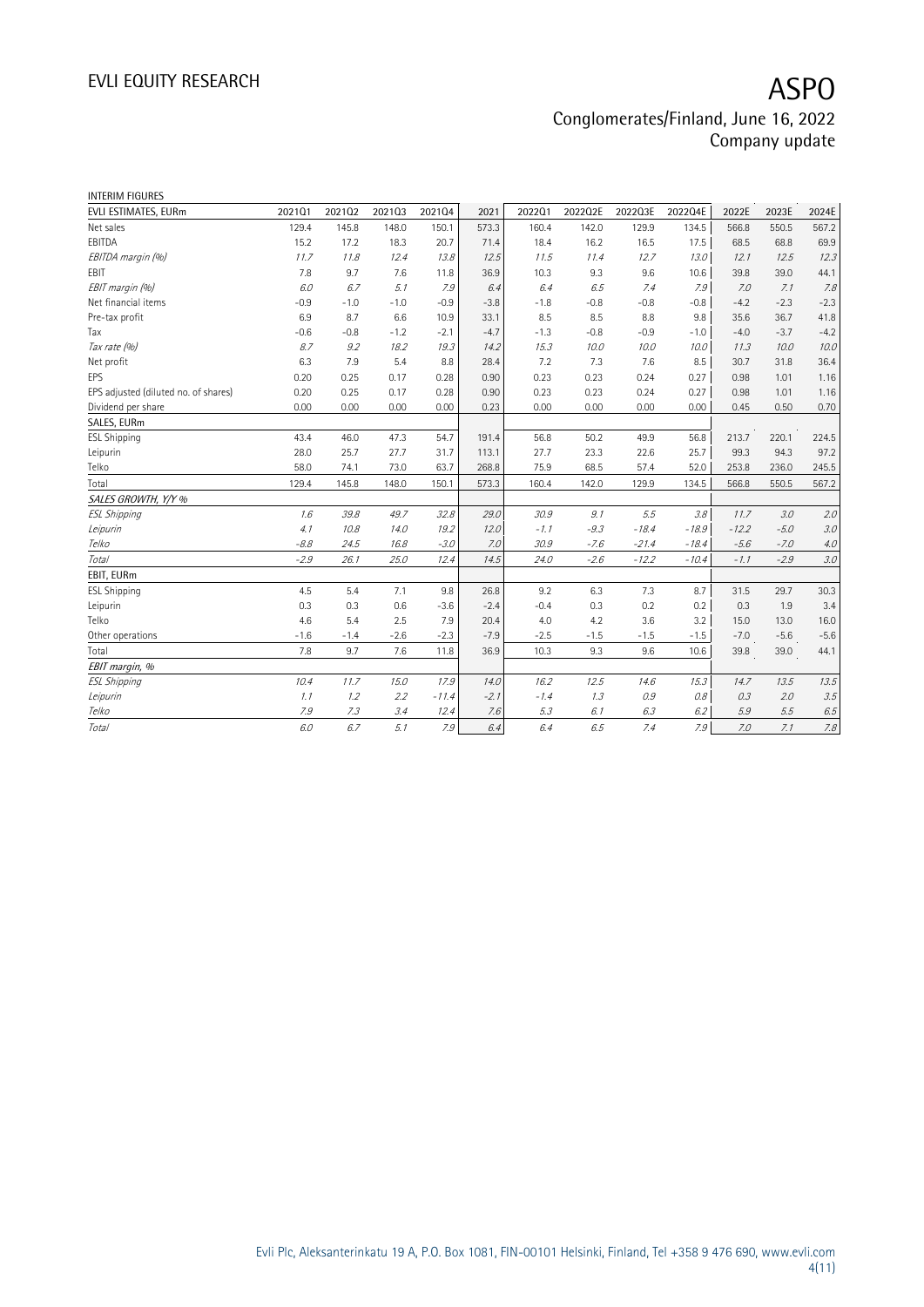| <b>INTERIM FIGURES</b>               |        |        |        |         |        |        |         |         |         |         |        |         |
|--------------------------------------|--------|--------|--------|---------|--------|--------|---------|---------|---------|---------|--------|---------|
| EVLI ESTIMATES, EURm                 | 202101 | 202102 | 202103 | 202104  | 2021   | 202201 | 2022Q2E | 2022Q3E | 2022Q4E | 2022E   | 2023E  | 2024E   |
| Net sales                            | 129.4  | 145.8  | 148.0  | 150.1   | 573.3  | 160.4  | 142.0   | 129.9   | 134.5   | 566.8   | 550.5  | 567.2   |
| EBITDA                               | 15.2   | 17.2   | 18.3   | 20.7    | 71.4   | 18.4   | 16.2    | 16.5    | 17.5    | 68.5    | 68.8   | 69.9    |
| EBITDA margin (%)                    | 11.7   | 11.8   | 12.4   | 13.8    | 12.5   | 11.5   | 11.4    | 12.7    | 13.0    | 12.1    | 12.5   | 12.3    |
| EBIT                                 | 7.8    | 9.7    | 7.6    | 11.8    | 36.9   | 10.3   | 9.3     | 9.6     | 10.6    | 39.8    | 39.0   | 44.1    |
| EBIT margin (%)                      | 6.0    | 6.7    | 5.1    | 7.9     | 6.4    | 6.4    | 6.5     | 7.4     | 7.9     | 7.0     | 7.1    | 7.8     |
| Net financial items                  | $-0.9$ | $-1.0$ | $-1.0$ | $-0.9$  | $-3.8$ | $-1.8$ | $-0.8$  | $-0.8$  | $-0.8$  | $-4.2$  | $-2.3$ | $-2.3$  |
| Pre-tax profit                       | 6.9    | 8.7    | 6.6    | 10.9    | 33.1   | 8.5    | 8.5     | 8.8     | 9.8     | 35.6    | 36.7   | 41.8    |
| Tax                                  | $-0.6$ | $-0.8$ | $-1.2$ | $-2.1$  | $-4.7$ | $-1.3$ | $-0.8$  | $-0.9$  | $-1.0$  | $-4.0$  | $-3.7$ | $-4.2$  |
| Tax rate (%)                         | 8.7    | 9.2    | 18.2   | 19.3    | 14.2   | 15.3   | 10.0    | 10.0    | 10.0    | 11.3    | 10.0   | 10.0    |
| Net profit                           | 6.3    | 7.9    | 5.4    | 8.8     | 28.4   | 7.2    | 7.3     | 7.6     | 8.5     | 30.7    | 31.8   | 36.4    |
| <b>EPS</b>                           | 0.20   | 0.25   | 0.17   | 0.28    | 0.90   | 0.23   | 0.23    | 0.24    | 0.27    | 0.98    | 1.01   | 1.16    |
| EPS adjusted (diluted no. of shares) | 0.20   | 0.25   | 0.17   | 0.28    | 0.90   | 0.23   | 0.23    | 0.24    | 0.27    | 0.98    | 1.01   | 1.16    |
| Dividend per share                   | 0.00   | 0.00   | 0.00   | 0.00    | 0.23   | 0.00   | 0.00    | 0.00    | 0.00    | 0.45    | 0.50   | 0.70    |
| SALES, EURm                          |        |        |        |         |        |        |         |         |         |         |        |         |
| <b>ESL Shipping</b>                  | 43.4   | 46.0   | 47.3   | 54.7    | 191.4  | 56.8   | 50.2    | 49.9    | 56.8    | 213.7   | 220.1  | 224.5   |
| Leipurin                             | 28.0   | 25.7   | 27.7   | 31.7    | 113.1  | 27.7   | 23.3    | 22.6    | 25.7    | 99.3    | 94.3   | 97.2    |
| Telko                                | 58.0   | 74.1   | 73.0   | 63.7    | 268.8  | 75.9   | 68.5    | 57.4    | 52.0    | 253.8   | 236.0  | 245.5   |
| Total                                | 129.4  | 145.8  | 148.0  | 150.1   | 573.3  | 160.4  | 142.0   | 129.9   | 134.5   | 566.8   | 550.5  | 567.2   |
| SALES GROWTH, Y/Y %                  |        |        |        |         |        |        |         |         |         |         |        |         |
| <b>ESL Shipping</b>                  | 1.6    | 39.8   | 49.7   | 32.8    | 29.0   | 30.9   | 9.1     | 5.5     | 3.8     | 11.7    | 3.0    | 2.0     |
| Leipurin                             | 4.1    | 10.8   | 14.0   | 19.2    | 12.0   | $-1.1$ | $-9.3$  | $-18.4$ | $-18.9$ | $-12.2$ | $-5.0$ | 3.0     |
| Telko                                | $-8.8$ | 24.5   | 16.8   | $-3.0$  | 7.0    | 30.9   | $-7.6$  | $-21.4$ | $-18.4$ | $-5.6$  | $-7.0$ | 4.0     |
| <b>Total</b>                         | $-2.9$ | 26.1   | 25.0   | 12.4    | 14.5   | 24.0   | $-2.6$  | $-12.2$ | $-10.4$ | $-1.1$  | $-2.9$ | 3.0     |
| EBIT, EURm                           |        |        |        |         |        |        |         |         |         |         |        |         |
| <b>ESL Shipping</b>                  | 4.5    | 5.4    | 7.1    | 9.8     | 26.8   | 9.2    | 6.3     | 7.3     | 8.7     | 31.5    | 29.7   | 30.3    |
| Leipurin                             | 0.3    | 0.3    | 0.6    | $-3.6$  | $-2.4$ | $-0.4$ | 0.3     | 0.2     | 0.2     | 0.3     | 1.9    | 3.4     |
| Telko                                | 4.6    | 5.4    | 2.5    | 7.9     | 20.4   | 4.0    | 4.2     | 3.6     | 3.2     | 15.0    | 13.0   | 16.0    |
| Other operations                     | $-1.6$ | $-1.4$ | $-2.6$ | $-2.3$  | $-7.9$ | $-2.5$ | $-1.5$  | $-1.5$  | $-1.5$  | $-7.0$  | $-5.6$ | $-5.6$  |
| Total                                | 7.8    | 9.7    | 7.6    | 11.8    | 36.9   | 10.3   | 9.3     | 9.6     | 10.6    | 39.8    | 39.0   | 44.1    |
| EBIT margin, %                       |        |        |        |         |        |        |         |         |         |         |        |         |
| <b>ESL Shipping</b>                  | 10.4   | 11.7   | 15.0   | 17.9    | 14.0   | 16.2   | 12.5    | 14.6    | 15.3    | 14.7    | 13.5   | 13.5    |
| Leipurin                             | 1.1    | 1.2    | 2.2    | $-11.4$ | $-2.1$ | $-1.4$ | 1.3     | 0.9     | 0.8     | 0.3     | 2.0    | 3.5     |
| Telko                                | 7.9    | 7.3    | 3.4    | 12.4    | 7.6    | 5.3    | 6.1     | 6.3     | 6.2     | 5.9     | 5.5    | 6.5     |
| Total                                | 6.0    | 6.7    | 5.1    | 7.9     | 6.4    | 6.4    | 6.5     | 7.4     | 7.9     | 7.0     | 7.1    | $7.8\,$ |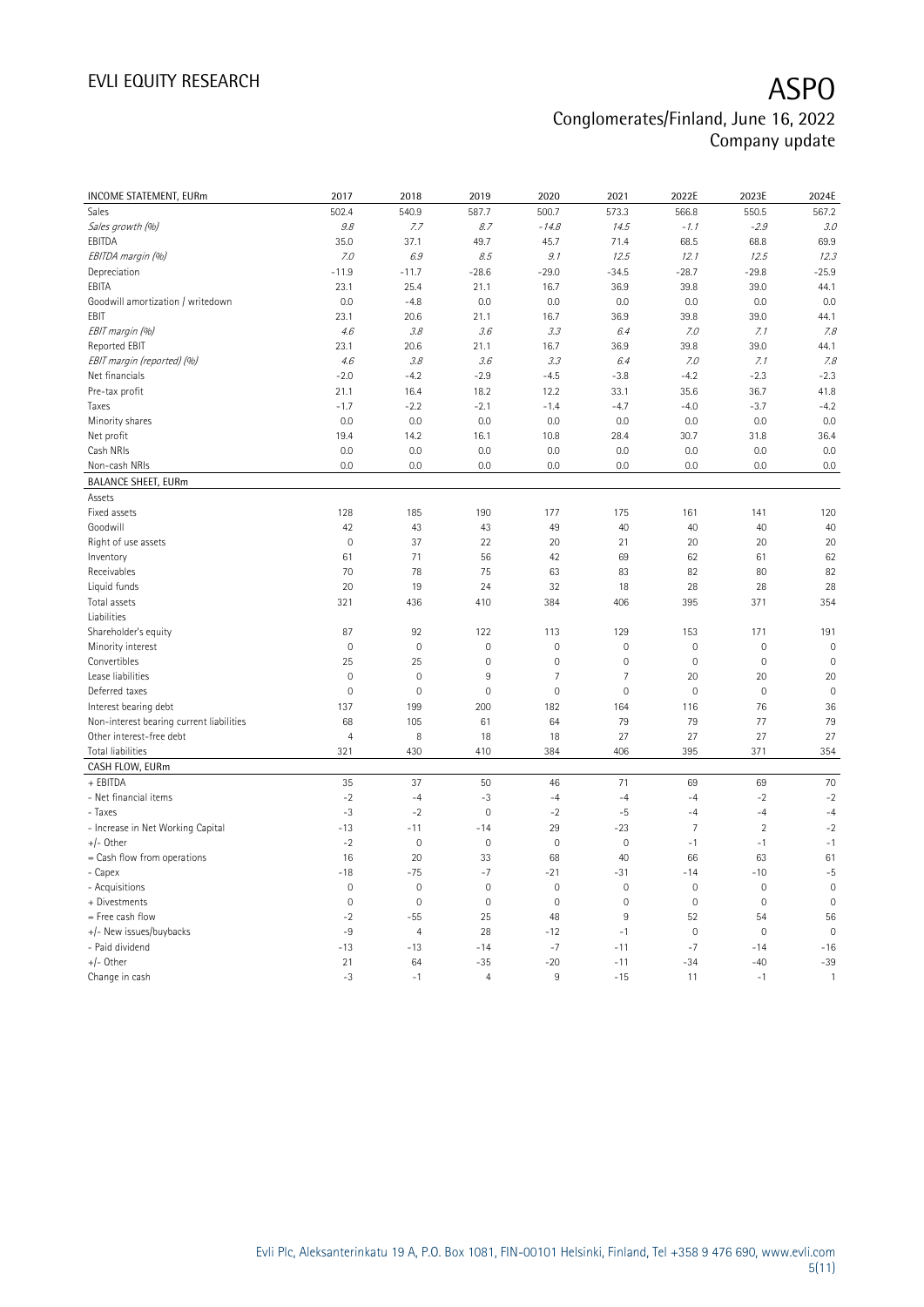| INCOME STATEMENT, EURm                   | 2017                      | 2018           | 2019                | 2020           | 2021           | 2022E               | 2023E          | 2024E        |
|------------------------------------------|---------------------------|----------------|---------------------|----------------|----------------|---------------------|----------------|--------------|
| Sales                                    | 502.4                     | 540.9          | 587.7               | 500.7          | 573.3          | 566.8               | 550.5          | 567.2        |
| Sales growth (%)                         | $\mathcal{G}.\mathcal{S}$ | 7.7            | 8.7                 | $-14.8$        | 14.5           | $-1.1$              | $-2.9$         | 3.0          |
| EBITDA                                   | 35.0                      | 37.1           | 49.7                | 45.7           | 71.4           | 68.5                | 68.8           | 69.9         |
| EBITDA margin (%)                        | 7.0                       | 6.9            | 8.5                 | 9.1            | 12.5           | 12.1                | 12.5           | 12.3         |
| Depreciation                             | $-11.9$                   | $-11.7$        | $-28.6$             | $-29.0$        | $-34.5$        | $-28.7$             | $-29.8$        | $-25.9$      |
| EBITA                                    | 23.1                      | 25.4           | 21.1                | 16.7           | 36.9           | 39.8                | 39.0           | 44.1         |
| Goodwill amortization / writedown        | 0.0                       | $-4.8$         | 0.0                 | 0.0            | 0.0            | 0.0                 | 0.0            | 0.0          |
| EBIT                                     | 23.1                      | 20.6           | 21.1                | 16.7           | 36.9           | 39.8                | 39.0           | 44.1         |
| EBIT margin (%)                          | 4.6                       | 3.8            | 3.6                 | 3.3            | 6.4            | 7.0                 | 7.1            | 7.8          |
| Reported EBIT                            | 23.1                      | 20.6           | 21.1                | 16.7           | 36.9           | 39.8                | 39.0           | 44.1         |
| EBIT margin (reported) (%)               | 4.6                       | 3.8            | 3.6                 | 3.3            | 6.4            | 7.0                 | 7.1            | 7.8          |
| Net financials                           | $-2.0$                    | $-4.2$         | $-2.9$              | $-4.5$         | $-3.8$         | $-4.2$              | $-2.3$         | $-2.3$       |
| Pre-tax profit                           | 21.1                      | 16.4           | 18.2                | 12.2           | 33.1           | 35.6                | 36.7           | 41.8         |
| Taxes                                    | $-1.7$                    | $-2.2$         | $-2.1$              | $-1.4$         | $-4.7$         | $-4.0$              | $-3.7$         | $-4.2$       |
| Minority shares                          | 0.0                       | 0.0            | $0.0\,$             | 0.0            | 0.0            | 0.0                 | 0.0            | 0.0          |
| Net profit                               | 19.4                      | 14.2           | 16.1                | 10.8           | 28.4           | 30.7                | 31.8           | 36.4         |
| Cash NRIs                                | 0.0                       | 0.0            | 0.0                 | 0.0            | 0.0            | 0.0                 | 0.0            | 0.0          |
| Non-cash NRIs                            | 0.0                       | 0.0            | $0.0\,$             | 0.0            | 0.0            | 0.0                 | 0.0            | 0.0          |
| <b>BALANCE SHEET, EURm</b>               |                           |                |                     |                |                |                     |                |              |
| Assets                                   |                           |                |                     |                |                |                     |                |              |
| Fixed assets                             | 128                       | 185            | 190                 | 177            | 175            | 161                 | 141            | 120          |
| Goodwill                                 | 42                        | 43             | 43                  | 49             | 40             | 40                  | 40             | 40           |
| Right of use assets                      | $\mathbf 0$               | 37             | 22                  | 20             | 21             | 20                  | 20             | 20           |
| Inventory                                | 61                        | 71             | 56                  | 42             | 69             | 62                  | 61             | 62           |
| Receivables                              | 70                        | 78             | 75                  | 63             | 83             | 82                  | 80             | 82           |
| Liquid funds                             | 20                        | 19             | 24                  | 32             | 18             | 28                  | 28             | 28           |
| Total assets                             | 321                       | 436            | 410                 | 384            | 406            | 395                 | 371            | 354          |
| Liabilities                              |                           |                |                     |                |                |                     |                |              |
| Shareholder's equity                     | 87                        | 92             | 122                 | 113            | 129            | 153                 | 171            | 191          |
| Minority interest                        | $\mathbf 0$               | $\mathbf 0$    | $\mathsf{O}\xspace$ | $\mathbf 0$    | $\mathbf 0$    | $\mathsf{O}\xspace$ | $\mathbf 0$    | $\mathbf 0$  |
| Convertibles                             | 25                        | 25             | $\mathsf{O}\xspace$ | $\mathbf 0$    | $\mathbf 0$    | $\mathsf{O}\xspace$ | $\mathbf 0$    | $\mathbf 0$  |
| Lease liabilities                        | $\mathbf 0$               | $\mathbf 0$    | $9\,$               | $\overline{7}$ | $\overline{7}$ | 20                  | 20             | 20           |
| Deferred taxes                           | $\mathbf 0$               | $\mathbf 0$    | $\mathsf{O}\xspace$ | $\mathbf 0$    | $\mathbf 0$    | $\mathsf{O}\xspace$ | $\mathbf 0$    | $\mathbf 0$  |
| Interest bearing debt                    | 137                       | 199            | 200                 | 182            | 164            | 116                 | 76             | 36           |
| Non-interest bearing current liabilities | 68                        | 105            | 61                  | 64             | 79             | 79                  | 77             | 79           |
| Other interest-free debt                 | $\overline{4}$            | 8              | 18                  | 18             | 27             | 27                  | 27             | 27           |
| Total liabilities                        | 321                       | 430            | 410                 | 384            | 406            | 395                 | 371            | 354          |
| CASH FLOW, EURm                          |                           |                |                     |                |                |                     |                |              |
| + EBITDA                                 | 35                        | 37             | 50                  | 46             | 71             | 69                  | 69             | 70           |
| - Net financial items                    | $-2$                      | $-4$           | -3                  | $-4$           | $-4$           | $-4$                | $-2$           | $-2$         |
| - Taxes                                  | $-3$                      | $-2$           | $\mathsf{O}\xspace$ | $-2$           | $-5$           | $-4$                | $-4$           | $-4$         |
| - Increase in Net Working Capital        | $-13$                     | $-11$          | $-14$               | 29             | $-23$          | $\overline{7}$      | $\overline{2}$ | $-2$         |
| +/- Other                                | $-2$                      | $\mathbf 0$    | $\mathsf{O}\xspace$ | $\mathbf 0$    | $\mathbf 0$    | $-1$                | $-1$           | $-1$         |
| = Cash flow from operations              | 16                        | 20             | 33                  | 68             | 40             | 66                  | 63             | 61           |
| - Capex                                  | $-18$                     | $-75$          | $-7$                | $-21$          | $-31$          | $-14$               | $-10$          | $-5$         |
| - Acquisitions                           | $\mathbf 0$               | $\mathbf 0$    | 0                   | $\mathbf 0$    | $\mathbf 0$    | $\mathsf{O}\xspace$ | $\mathbf 0$    | $\mathbf 0$  |
| + Divestments                            | $\mathbf 0$               | $\mathbf 0$    | $\mathsf{O}\xspace$ | $\mathbf 0$    | $\mathbf 0$    | $\mathsf{O}\xspace$ | $\mathbf 0$    | $\mathbf 0$  |
| = Free cash flow                         | $-2$                      | $-55$          | 25                  | 48             | $\overline{9}$ | 52                  | 54             | 56           |
| +/- New issues/buybacks                  | $-9$                      | $\overline{4}$ | 28                  | $-12$          | $-1$           | $\mathsf{O}\xspace$ | $\mathbf 0$    | $\mathbf 0$  |
| - Paid dividend                          | $-13$                     | $-13$          | $-14$               | $-7$           | $-11$          | $-7$                | $-14$          | $-16$        |
| +/- Other                                | 21                        | 64             | $-35$               | $-20$          | $-11$          | $-34$               | $-40$          | $-39$        |
| Change in cash                           | $-3$                      | $-1$           | $\overline{4}$      | 9              | $-15$          | 11                  | $-1$           | $\mathbf{1}$ |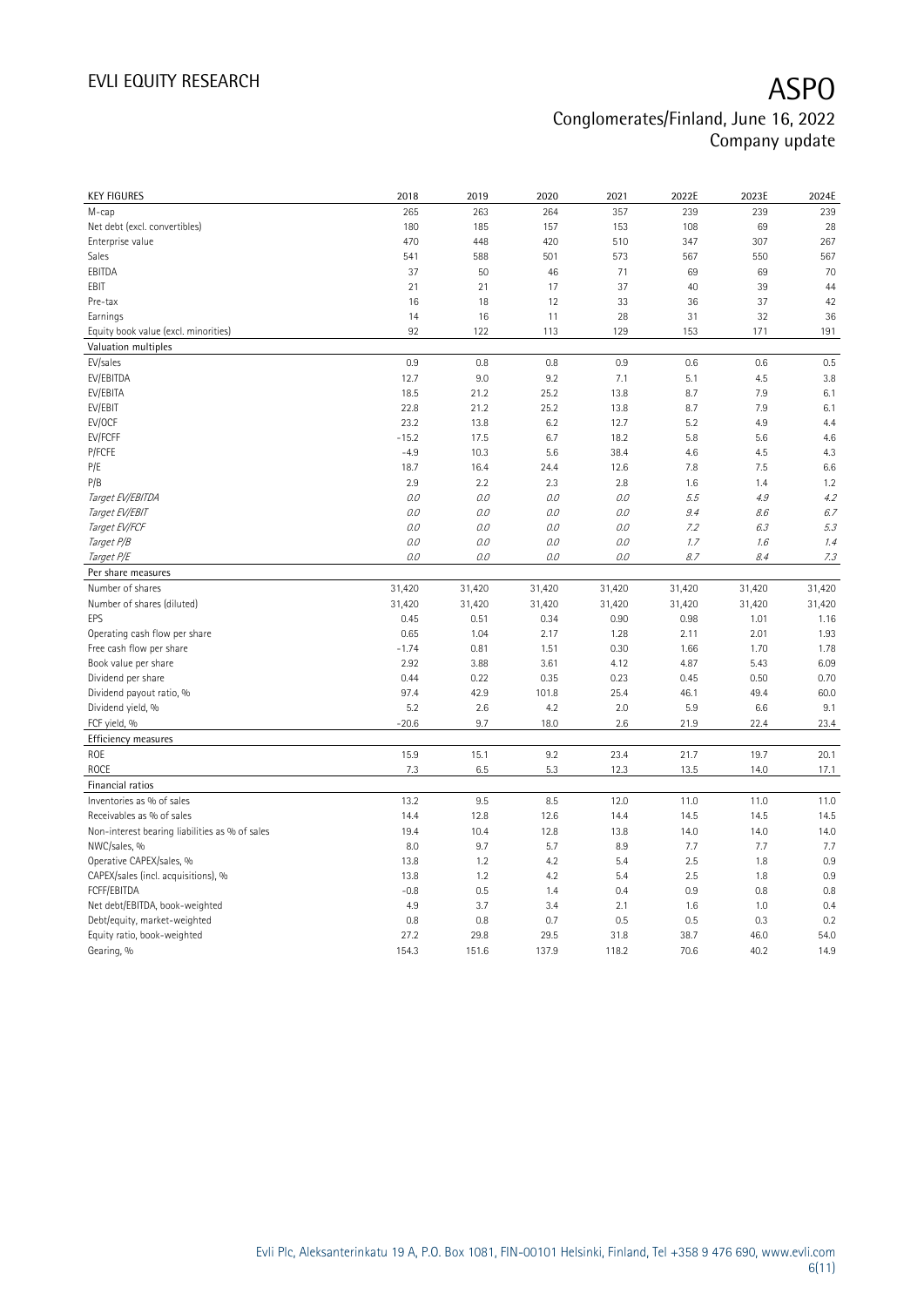| <b>KEY FIGURES</b>                             | 2018           | 2019           | 2020           | 2021           | 2022E          | 2023E          | 2024E  |
|------------------------------------------------|----------------|----------------|----------------|----------------|----------------|----------------|--------|
| M-cap                                          | 265            | 263            | 264            | 357            | 239            | 239            | 239    |
| Net debt (excl. convertibles)                  | 180            | 185            | 157            | 153            | 108            | 69             | 28     |
| Enterprise value                               | 470            | 448            | 420            | 510            | 347            | 307            | 267    |
| Sales                                          | 541            | 588            | 501            | 573            | 567            | 550            | 567    |
| EBITDA                                         | 37             | 50             | 46             | 71             | 69             | 69             | 70     |
| EBIT                                           | 21             | 21             | 17             | 37             | 40             | 39             | 44     |
| Pre-tax                                        | 16             | 18             | 12             | 33             | 36             | 37             | 42     |
| Earnings                                       | 14             | 16             | 11             | 28             | 31             | 32             | 36     |
| Equity book value (excl. minorities)           | 92             | 122            | 113            | 129            | 153            | 171            | 191    |
| Valuation multiples                            |                |                |                |                |                |                |        |
| EV/sales                                       | 0.9            | 0.8            | 0.8            | 0.9            | 0.6            | 0.6            | 0.5    |
| EV/EBITDA                                      | 12.7           | 9.0            | 9.2            | 7.1            | 5.1            | 4.5            | 3.8    |
| EV/EBITA                                       | 18.5           | 21.2           | 25.2           | 13.8           | 8.7            | 7.9            | 6.1    |
| EV/EBIT                                        | 22.8           | 21.2           | 25.2           | 13.8           | 8.7            | 7.9            | 6.1    |
| EV/OCF                                         | 23.2           | 13.8           | 6.2            | 12.7           | 5.2            | 4.9            | 4.4    |
| EV/FCFF                                        | $-15.2$        | 17.5           | 6.7            | 18.2           | 5.8            | 5.6            | 4.6    |
| P/FCFE                                         | $-4.9$         | 10.3           | 5.6            | 38.4           | 4.6            | 4.5            | 4.3    |
| P/E                                            | 18.7           | 16.4           | 24.4           | 12.6           | 7.8            | 7.5            | 6.6    |
| P/B                                            | 2.9            | 2.2            | 2.3            | 2.8            | 1.6            | 1.4            | 1.2    |
| Target EV/EBITDA                               | 0.0            | 0.0            | 0.0            | 0.0            | 5.5            | 4.9            | 4.2    |
| Target EV/EBIT                                 | 0.0            | 0.0            | 0.0            | 0.0            | 9.4            | 8.6            | 6.7    |
| Target EV/FCF                                  | 0.0            | 0.0            | 0.0            | 0.0            | 7.2            | 6.3            | 5.3    |
| Target P/B                                     | 0.0            | 0.0            | 0.0            | O.O            | 1.7            | 1.6            | 1.4    |
| Target P/E                                     | 0.0            | 0.0            | 0.0            | 0.0            | 8.7            | 8.4            | 7.3    |
| Per share measures                             |                |                |                |                |                |                |        |
| Number of shares                               | 31,420         | 31,420         | 31,420         | 31,420         | 31,420         | 31,420         | 31,420 |
| Number of shares (diluted)                     |                |                |                |                |                |                | 31,420 |
| EPS                                            | 31,420<br>0.45 | 31,420<br>0.51 | 31,420<br>0.34 | 31,420<br>0.90 | 31,420<br>0.98 | 31,420<br>1.01 | 1.16   |
|                                                | 0.65           |                |                |                |                |                |        |
| Operating cash flow per share                  |                | 1.04           | 2.17           | 1.28           | 2.11           | 2.01           | 1.93   |
| Free cash flow per share                       | $-1.74$        | 0.81           | 1.51           | 0.30           | 1.66           | 1.70           | 1.78   |
| Book value per share                           | 2.92           | 3.88           | 3.61           | 4.12           | 4.87           | 5.43           | 6.09   |
| Dividend per share                             | 0.44           | 0.22           | 0.35           | 0.23           | 0.45           | 0.50           | 0.70   |
| Dividend payout ratio, %                       | 97.4           | 42.9           | 101.8          | 25.4           | 46.1           | 49.4           | 60.0   |
| Dividend yield, %                              | 5.2            | 2.6            | 4.2            | 2.0            | 5.9            | 6.6            | 9.1    |
| FCF yield, %                                   | $-20.6$        | 9.7            | 18.0           | 2.6            | 21.9           | 22.4           | 23.4   |
| Efficiency measures                            |                |                |                |                |                |                |        |
| <b>ROE</b>                                     | 15.9           | 15.1           | 9.2            | 23.4           | 21.7           | 19.7           | 20.1   |
| <b>ROCE</b>                                    | 7.3            | 6.5            | 5.3            | 12.3           | 13.5           | 14.0           | 17.1   |
| Financial ratios                               |                |                |                |                |                |                |        |
| Inventories as % of sales                      | 13.2           | 9.5            | 8.5            | 12.0           | 11.0           | 11.0           | 11.0   |
| Receivables as % of sales                      | 14.4           | 12.8           | 12.6           | 14.4           | 14.5           | 14.5           | 14.5   |
| Non-interest bearing liabilities as % of sales | 19.4           | 10.4           | 12.8           | 13.8           | 14.0           | 14.0           | 14.0   |
| NWC/sales, %                                   | 8.0            | 9.7            | 5.7            | 8.9            | 7.7            | 7.7            | 7.7    |
| Operative CAPEX/sales, %                       | 13.8           | 1.2            | 4.2            | 5.4            | 2.5            | 1.8            | 0.9    |
| CAPEX/sales (incl. acquisitions), %            | 13.8           | 1.2            | 4.2            | 5.4            | 2.5            | 1.8            | 0.9    |
| FCFF/EBITDA                                    | $-0.8$         | 0.5            | 1.4            | 0.4            | 0.9            | 0.8            | 0.8    |
| Net debt/EBITDA, book-weighted                 | 4.9            | 3.7            | 3.4            | 2.1            | 1.6            | 1.0            | 0.4    |
| Debt/equity, market-weighted                   |                |                |                |                |                |                |        |
|                                                | 0.8            | 0.8            | 0.7            | 0.5            | 0.5            | 0.3            | 0.2    |
| Equity ratio, book-weighted                    | 27.2           | 29.8           | 29.5           | 31.8           | 38.7           | 46.0           | 54.0   |
| Gearing, %                                     | 154.3          | 151.6          | 137.9          | 118.2          | 70.6           | 40.2           | 14.9   |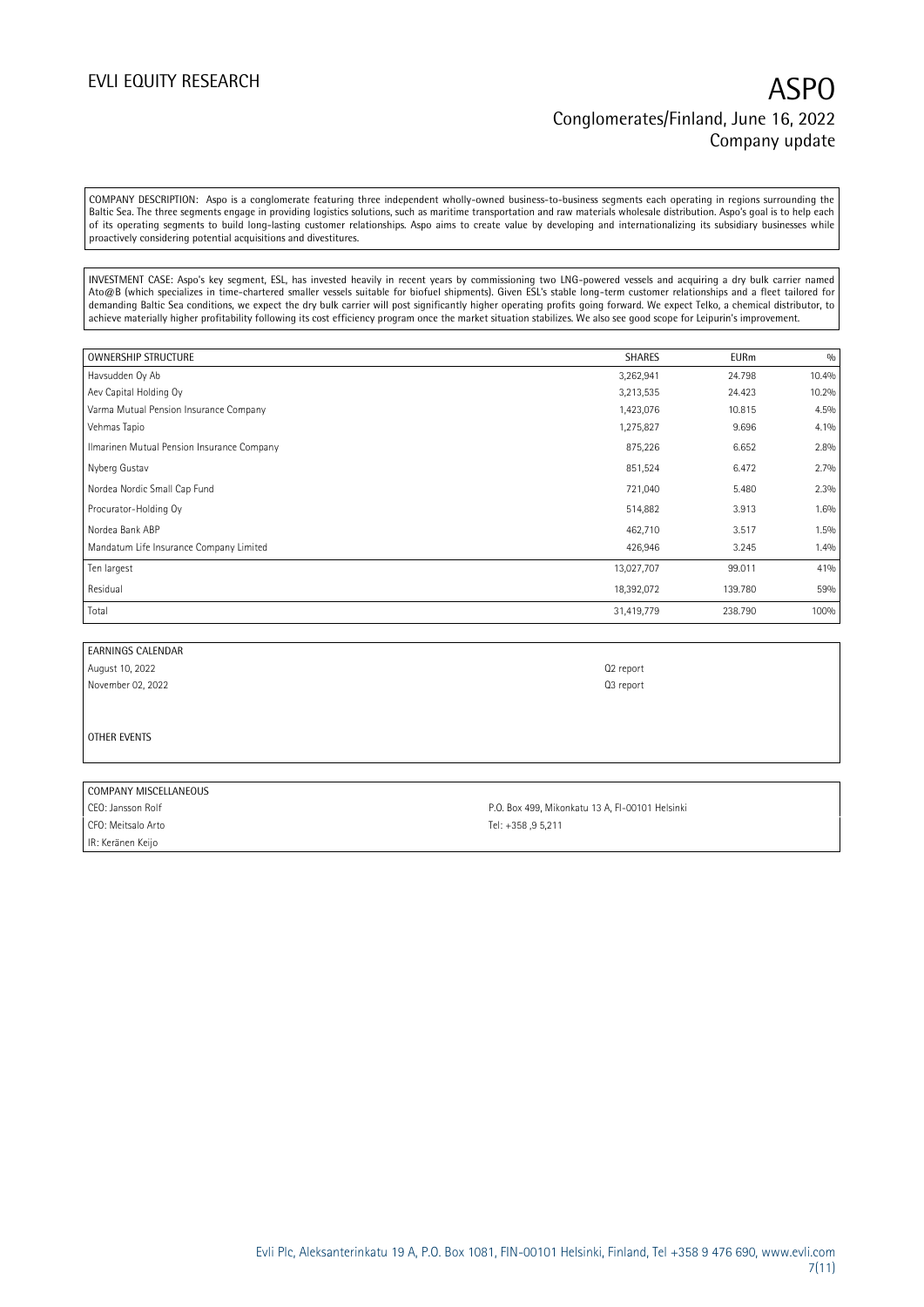COMPANY DESCRIPTION: Aspo is a conglomerate featuring three independent wholly-owned business-to-business segments each operating in regions surrounding the Baltic Sea. The three segments engage in providing logistics solutions, such as maritime transportation and raw materials wholesale distribution. Aspo's goal is to help each of its operating segments to build long-lasting customer relationships. Aspo aims to create value by developing and internationalizing its subsidiary businesses while proactively considering potential acquisitions and divestitures.

INVESTMENT CASE: Aspo's key segment, ESL, has invested heavily in recent years by commissioning two LNG-powered vessels and acquiring a dry bulk carrier named Ato@B (which specializes in time-chartered smaller vessels suitable for biofuel shipments). Given ESL's stable long-term customer relationships and a fleet tailored for demanding Baltic Sea conditions, we expect the dry bulk carrier will post significantly higher operating profits going forward. We expect Telko, a chemical distributor, to achieve materially higher profitability following its cost efficiency program once the market situation stabilizes. We also see good scope for Leipurin's improvement.

| OWNERSHIP STRUCTURE                        | <b>SHARES</b> | <b>EURm</b> | 0/0   |
|--------------------------------------------|---------------|-------------|-------|
| Havsudden Oy Ab                            | 3,262,941     | 24.798      | 10.4% |
| Aev Capital Holding Oy                     | 3,213,535     | 24.423      | 10.2% |
| Varma Mutual Pension Insurance Company     | 1,423,076     | 10.815      | 4.5%  |
| Vehmas Tapio                               | 1,275,827     | 9.696       | 4.1%  |
| Ilmarinen Mutual Pension Insurance Company | 875,226       | 6.652       | 2.8%  |
| Nyberg Gustav                              | 851,524       | 6.472       | 2.7%  |
| Nordea Nordic Small Cap Fund               | 721,040       | 5.480       | 2.3%  |
| Procurator-Holding Oy                      | 514,882       | 3.913       | 1.6%  |
| Nordea Bank ABP                            | 462,710       | 3.517       | 1.5%  |
| Mandatum Life Insurance Company Limited    | 426,946       | 3.245       | 1.4%  |
| Ten largest                                | 13,027,707    | 99.011      | 41%   |
| Residual                                   | 18,392,072    | 139.780     | 59%   |
| Total                                      | 31,419,779    | 238.790     | 100%  |

EARNINGS CALENDAR August 10, 2022 Q2 report November 02, 2022 **Q3** report

OTHER EVENTS

### COMPANY MISCELLANEOUS

CFO: Meitsalo Arto Tel: +358 ,9 5,211 IR: Keränen Keijo

CEO: Jansson Rolf P.O. Box 499, Mikonkatu 13 A, FI-00101 Helsinki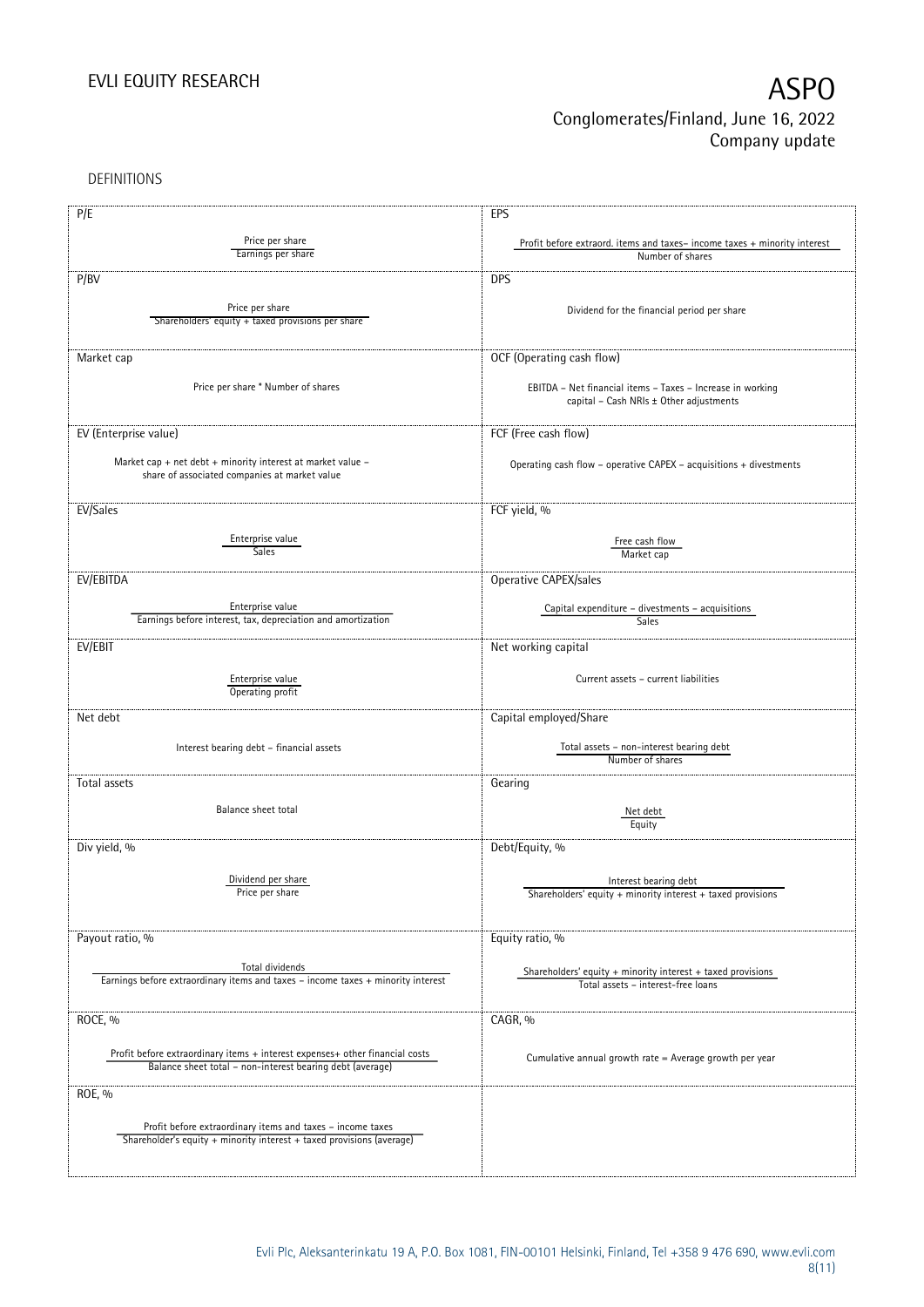DEFINITIONS

| P/E                                                                                                          | EPS                                                                                          |
|--------------------------------------------------------------------------------------------------------------|----------------------------------------------------------------------------------------------|
| Price per share                                                                                              |                                                                                              |
| Earnings per share                                                                                           | Profit before extraord. items and taxes-income taxes + minority interest<br>Number of shares |
|                                                                                                              |                                                                                              |
| P/BV                                                                                                         | <b>DPS</b>                                                                                   |
|                                                                                                              |                                                                                              |
| Price per share                                                                                              | Dividend for the financial period per share                                                  |
| Shareholders' equity + taxed provisions per share                                                            |                                                                                              |
|                                                                                                              |                                                                                              |
| Market cap                                                                                                   | OCF (Operating cash flow)                                                                    |
|                                                                                                              |                                                                                              |
| Price per share * Number of shares                                                                           | EBITDA - Net financial items - Taxes - Increase in working                                   |
|                                                                                                              | capital - Cash NRIs ± Other adjustments                                                      |
|                                                                                                              |                                                                                              |
| EV (Enterprise value)                                                                                        | FCF (Free cash flow)                                                                         |
|                                                                                                              |                                                                                              |
| Market cap + net debt + minority interest at market value -<br>share of associated companies at market value | Operating cash flow - operative CAPEX - acquisitions + divestments                           |
|                                                                                                              |                                                                                              |
|                                                                                                              |                                                                                              |
| EV/Sales                                                                                                     | FCF yield, %                                                                                 |
|                                                                                                              |                                                                                              |
| Enterprise value<br>Sales                                                                                    | Free cash flow                                                                               |
|                                                                                                              | Market cap                                                                                   |
| EV/EBITDA                                                                                                    | Operative CAPEX/sales                                                                        |
|                                                                                                              |                                                                                              |
| Enterprise value                                                                                             | Capital expenditure - divestments - acquisitions                                             |
| Earnings before interest, tax, depreciation and amortization                                                 | Sales                                                                                        |
| EV/EBIT                                                                                                      | Net working capital                                                                          |
|                                                                                                              |                                                                                              |
|                                                                                                              | Current assets - current liabilities                                                         |
| Enterprise value<br>Operating profit                                                                         |                                                                                              |
|                                                                                                              |                                                                                              |
| Net debt                                                                                                     | Capital employed/Share                                                                       |
|                                                                                                              |                                                                                              |
| Interest bearing debt - financial assets                                                                     | Total assets - non-interest bearing debt<br>Number of shares                                 |
|                                                                                                              |                                                                                              |
| Total assets                                                                                                 | Gearing                                                                                      |
|                                                                                                              |                                                                                              |
| Balance sheet total                                                                                          | Net debt                                                                                     |
|                                                                                                              | Equity                                                                                       |
| Div yield, %                                                                                                 | Debt/Equity, %                                                                               |
|                                                                                                              |                                                                                              |
| Dividend per share                                                                                           | Interest bearing debt                                                                        |
| Price per share                                                                                              | Shareholders' equity + minority interest + taxed provisions                                  |
|                                                                                                              |                                                                                              |
|                                                                                                              |                                                                                              |
| Payout ratio, %                                                                                              | Equity ratio, %                                                                              |
|                                                                                                              |                                                                                              |
| Total dividends                                                                                              | Shareholders' equity $+$ minority interest $+$ taxed provisions                              |
| Earnings before extraordinary items and taxes - income taxes + minority interest                             | Total assets - interest-free loans                                                           |
|                                                                                                              |                                                                                              |
| ROCE, %                                                                                                      | CAGR, %                                                                                      |
|                                                                                                              |                                                                                              |
| Profit before extraordinary items + interest expenses+ other financial costs                                 | Cumulative annual growth rate = Average growth per year                                      |
| Balance sheet total - non-interest bearing debt (average)                                                    |                                                                                              |
|                                                                                                              |                                                                                              |
| ROE, %                                                                                                       |                                                                                              |
|                                                                                                              |                                                                                              |
| Profit before extraordinary items and taxes - income taxes                                                   |                                                                                              |
| Shareholder's equity + minority interest + taxed provisions (average)                                        |                                                                                              |
|                                                                                                              |                                                                                              |
|                                                                                                              |                                                                                              |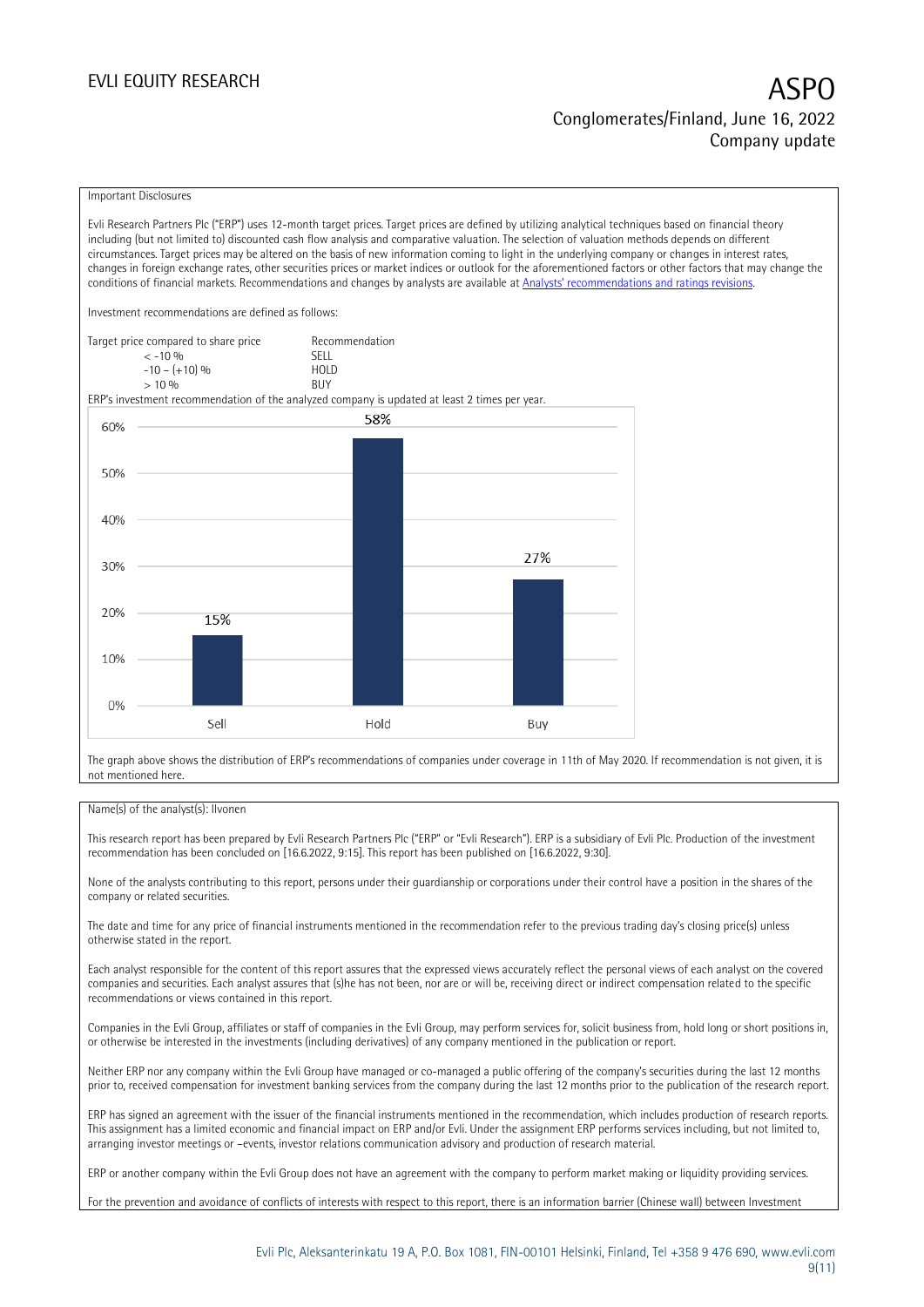### EVLI EQUITY RESEARCH

# Conglomerates/Finland, June 16, 2022 Company update

### Important Disclosures

Evli Research Partners Plc ("ERP") uses 12-month target prices. Target prices are defined by utilizing analytical techniques based on financial theory including (but not limited to) discounted cash flow analysis and comparative valuation. The selection of valuation methods depends on different circumstances. Target prices may be altered on the basis of new information coming to light in the underlying company or changes in interest rates, changes in foreign exchange rates, other securities prices or market indices or outlook for the aforementioned factors or other factors that may change the conditions of financial markets. Recommendations and changes by analysts are available at [Analysts' recommendations and ratings revisions](https://research.evli.com/JasperAllModels.action?authParam=key;461&authParam=x;G3rNagWrtf7K&authType=3).

Investment recommendations are defined as follows:

Target price compared to share price Recommendation < -10 % SELL  $-10 - (+10) \%$  HOL<br>  $> 10 \%$  $> 10\%$ 

ERP's investment recommendation of the analyzed company is updated at least 2 times per year.



The graph above shows the distribution of ERP's recommendations of companies under coverage in 11th of May 2020. If recommendation is not given, it is not mentioned here.

### Name(s) of the analyst(s): Ilvonen

This research report has been prepared by Evli Research Partners Plc ("ERP" or "Evli Research"). ERP is a subsidiary of Evli Plc. Production of the investment recommendation has been concluded on [16.6.2022, 9:15]. This report has been published on [16.6.2022, 9:30].

None of the analysts contributing to this report, persons under their guardianship or corporations under their control have a position in the shares of the company or related securities.

The date and time for any price of financial instruments mentioned in the recommendation refer to the previous trading day's closing price(s) unless otherwise stated in the report.

Each analyst responsible for the content of this report assures that the expressed views accurately reflect the personal views of each analyst on the covered companies and securities. Each analyst assures that (s)he has not been, nor are or will be, receiving direct or indirect compensation related to the specific recommendations or views contained in this report.

Companies in the Evli Group, affiliates or staff of companies in the Evli Group, may perform services for, solicit business from, hold long or short positions in, or otherwise be interested in the investments (including derivatives) of any company mentioned in the publication or report.

Neither ERP nor any company within the Evli Group have managed or co-managed a public offering of the company's securities during the last 12 months prior to, received compensation for investment banking services from the company during the last 12 months prior to the publication of the research report.

ERP has signed an agreement with the issuer of the financial instruments mentioned in the recommendation, which includes production of research reports. This assignment has a limited economic and financial impact on ERP and/or Evli. Under the assignment ERP performs services including, but not limited to, arranging investor meetings or –events, investor relations communication advisory and production of research material.

ERP or another company within the Evli Group does not have an agreement with the company to perform market making or liquidity providing services.

For the prevention and avoidance of conflicts of interests with respect to this report, there is an information barrier (Chinese wall) between Investment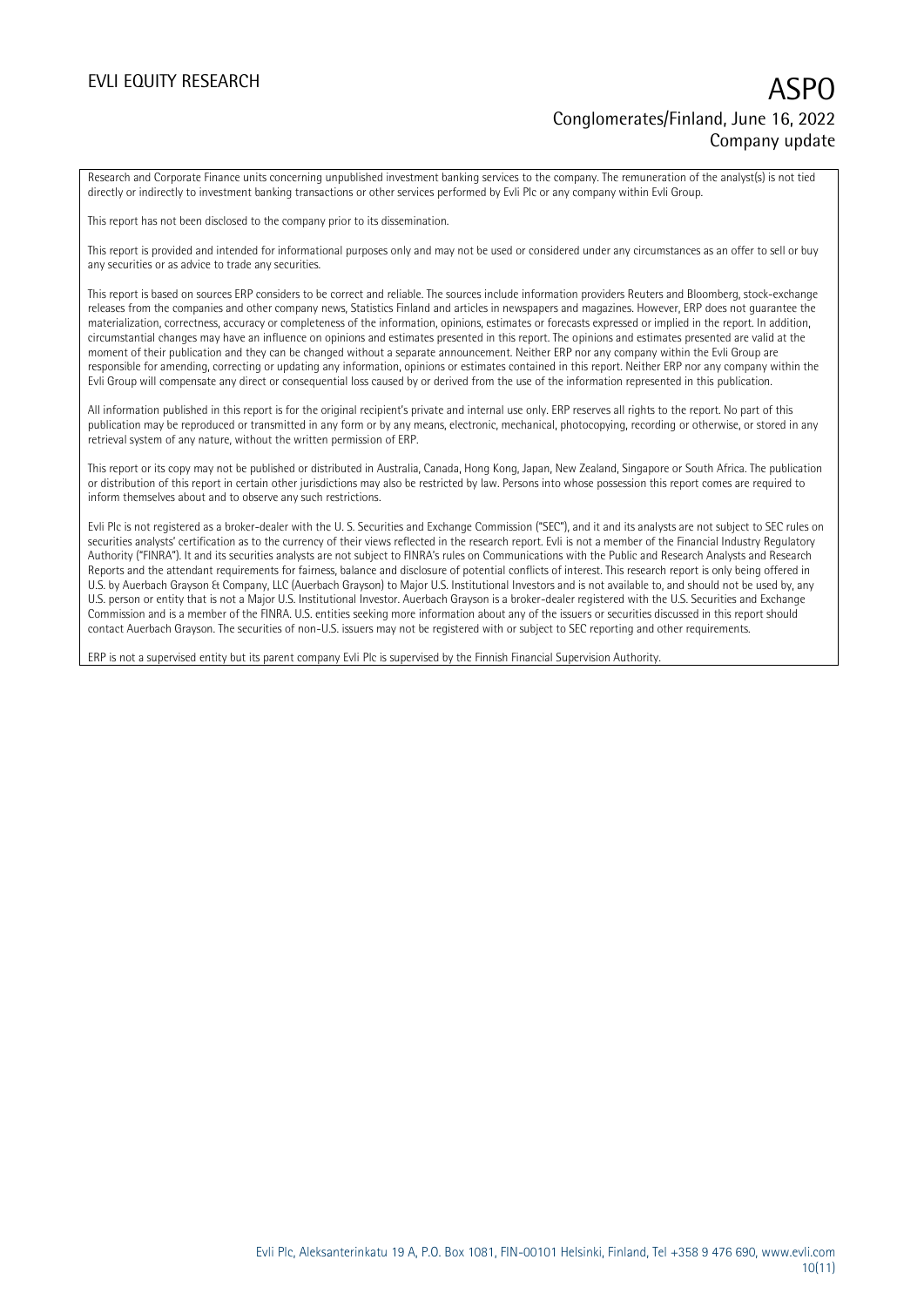Research and Corporate Finance units concerning unpublished investment banking services to the company. The remuneration of the analyst(s) is not tied directly or indirectly to investment banking transactions or other services performed by Evli Plc or any company within Evli Group.

This report has not been disclosed to the company prior to its dissemination.

This report is provided and intended for informational purposes only and may not be used or considered under any circumstances as an offer to sell or buy any securities or as advice to trade any securities.

This report is based on sources ERP considers to be correct and reliable. The sources include information providers Reuters and Bloomberg, stock-exchange releases from the companies and other company news, Statistics Finland and articles in newspapers and magazines. However, ERP does not guarantee the materialization, correctness, accuracy or completeness of the information, opinions, estimates or forecasts expressed or implied in the report. In addition, circumstantial changes may have an influence on opinions and estimates presented in this report. The opinions and estimates presented are valid at the moment of their publication and they can be changed without a separate announcement. Neither ERP nor any company within the Evli Group are responsible for amending, correcting or updating any information, opinions or estimates contained in this report. Neither ERP nor any company within the Evli Group will compensate any direct or consequential loss caused by or derived from the use of the information represented in this publication.

All information published in this report is for the original recipient's private and internal use only. ERP reserves all rights to the report. No part of this publication may be reproduced or transmitted in any form or by any means, electronic, mechanical, photocopying, recording or otherwise, or stored in any retrieval system of any nature, without the written permission of ERP.

This report or its copy may not be published or distributed in Australia, Canada, Hong Kong, Japan, New Zealand, Singapore or South Africa. The publication or distribution of this report in certain other jurisdictions may also be restricted by law. Persons into whose possession this report comes are required to inform themselves about and to observe any such restrictions.

Evli Plc is not registered as a broker-dealer with the U. S. Securities and Exchange Commission ("SEC"), and it and its analysts are not subject to SEC rules on securities analysts' certification as to the currency of their views reflected in the research report. Evli is not a member of the Financial Industry Regulatory Authority ("FINRA"). It and its securities analysts are not subject to FINRA's rules on Communications with the Public and Research Analysts and Research Reports and the attendant requirements for fairness, balance and disclosure of potential conflicts of interest. This research report is only being offered in U.S. by Auerbach Grayson & Company, LLC (Auerbach Grayson) to Major U.S. Institutional Investors and is not available to, and should not be used by, any U.S. person or entity that is not a Major U.S. Institutional Investor. Auerbach Grayson is a broker-dealer registered with the U.S. Securities and Exchange Commission and is a member of the FINRA. U.S. entities seeking more information about any of the issuers or securities discussed in this report should contact Auerbach Grayson. The securities of non-U.S. issuers may not be registered with or subject to SEC reporting and other requirements.

ERP is not a supervised entity but its parent company Evli Plc is supervised by the Finnish Financial Supervision Authority.